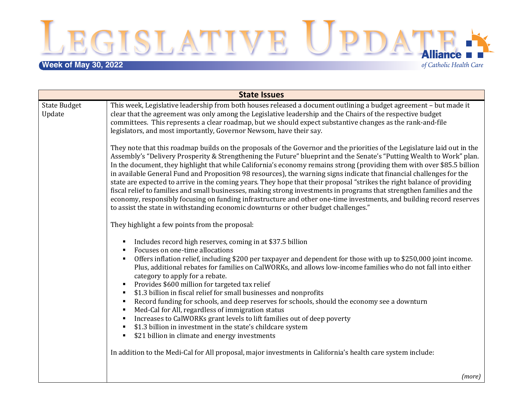EGISLATIVE UPDATE.

# **Week of May 30, 2022**

of Catholic Health Care

| <b>State Issues</b>           |                                                                                                                                                                                                                                                                                                                                                                                                                                                                                                                                                                                                                                                                                                                                                                                                                                                                                                                                                                                                   |  |
|-------------------------------|---------------------------------------------------------------------------------------------------------------------------------------------------------------------------------------------------------------------------------------------------------------------------------------------------------------------------------------------------------------------------------------------------------------------------------------------------------------------------------------------------------------------------------------------------------------------------------------------------------------------------------------------------------------------------------------------------------------------------------------------------------------------------------------------------------------------------------------------------------------------------------------------------------------------------------------------------------------------------------------------------|--|
| <b>State Budget</b><br>Update | This week, Legislative leadership from both houses released a document outlining a budget agreement - but made it<br>clear that the agreement was only among the Legislative leadership and the Chairs of the respective budget<br>committees. This represents a clear roadmap, but we should expect substantive changes as the rank-and-file<br>legislators, and most importantly, Governor Newsom, have their say.                                                                                                                                                                                                                                                                                                                                                                                                                                                                                                                                                                              |  |
|                               | They note that this roadmap builds on the proposals of the Governor and the priorities of the Legislature laid out in the<br>Assembly's "Delivery Prosperity & Strengthening the Future" blueprint and the Senate's "Putting Wealth to Work" plan.<br>In the document, they highlight that while California's economy remains strong (providing them with over \$85.5 billion<br>in available General Fund and Proposition 98 resources), the warning signs indicate that financial challenges for the<br>state are expected to arrive in the coming years. They hope that their proposal "strikes the right balance of providing<br>fiscal relief to families and small businesses, making strong investments in programs that strengthen families and the<br>economy, responsibly focusing on funding infrastructure and other one-time investments, and building record reserves<br>to assist the state in withstanding economic downturns or other budget challenges."                        |  |
|                               | They highlight a few points from the proposal:                                                                                                                                                                                                                                                                                                                                                                                                                                                                                                                                                                                                                                                                                                                                                                                                                                                                                                                                                    |  |
|                               | Includes record high reserves, coming in at \$37.5 billion<br>٠<br>Focuses on one-time allocations<br>Offers inflation relief, including \$200 per taxpayer and dependent for those with up to \$250,000 joint income.<br>٠<br>Plus, additional rebates for families on CalWORKs, and allows low-income families who do not fall into either<br>category to apply for a rebate.<br>Provides \$600 million for targeted tax relief<br>п.<br>\$1.3 billion in fiscal relief for small businesses and nonprofits<br>٠<br>Record funding for schools, and deep reserves for schools, should the economy see a downturn<br>٠<br>Med-Cal for All, regardless of immigration status<br>٠<br>Increases to CalWORKs grant levels to lift families out of deep poverty<br>\$1.3 billion in investment in the state's childcare system<br>\$21 billion in climate and energy investments<br>٠<br>In addition to the Medi-Cal for All proposal, major investments in California's health care system include: |  |
|                               | (more)                                                                                                                                                                                                                                                                                                                                                                                                                                                                                                                                                                                                                                                                                                                                                                                                                                                                                                                                                                                            |  |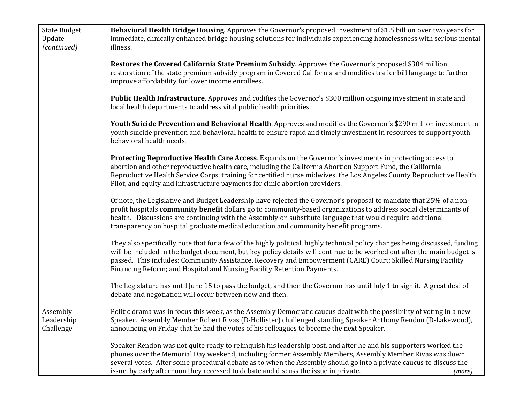| <b>State Budget</b><br>Update<br>(continued) | Behavioral Health Bridge Housing. Approves the Governor's proposed investment of \$1.5 billion over two years for<br>immediate, clinically enhanced bridge housing solutions for individuals experiencing homelessness with serious mental<br>illness.                                                                                                                                                                                             |
|----------------------------------------------|----------------------------------------------------------------------------------------------------------------------------------------------------------------------------------------------------------------------------------------------------------------------------------------------------------------------------------------------------------------------------------------------------------------------------------------------------|
|                                              | Restores the Covered California State Premium Subsidy. Approves the Governor's proposed \$304 million<br>restoration of the state premium subsidy program in Covered California and modifies trailer bill language to further<br>improve affordability for lower income enrollees.                                                                                                                                                                 |
|                                              | <b>Public Health Infrastructure.</b> Approves and codifies the Governor's \$300 million ongoing investment in state and<br>local health departments to address vital public health priorities.                                                                                                                                                                                                                                                     |
|                                              | Youth Suicide Prevention and Behavioral Health. Approves and modifies the Governor's \$290 million investment in<br>youth suicide prevention and behavioral health to ensure rapid and timely investment in resources to support youth<br>behavioral health needs.                                                                                                                                                                                 |
|                                              | Protecting Reproductive Health Care Access. Expands on the Governor's investments in protecting access to<br>abortion and other reproductive health care, including the California Abortion Support Fund, the California<br>Reproductive Health Service Corps, training for certified nurse midwives, the Los Angeles County Reproductive Health<br>Pilot, and equity and infrastructure payments for clinic abortion providers.                   |
|                                              | Of note, the Legislative and Budget Leadership have rejected the Governor's proposal to mandate that 25% of a non-<br>profit hospitals community benefit dollars go to community-based organizations to address social determinants of<br>health. Discussions are continuing with the Assembly on substitute language that would require additional<br>transparency on hospital graduate medical education and community benefit programs.         |
|                                              | They also specifically note that for a few of the highly political, highly technical policy changes being discussed, funding<br>will be included in the budget document, but key policy details will continue to be worked out after the main budget is<br>passed. This includes: Community Assistance, Recovery and Empowerment (CARE) Court; Skilled Nursing Facility<br>Financing Reform; and Hospital and Nursing Facility Retention Payments. |
|                                              | The Legislature has until June 15 to pass the budget, and then the Governor has until July 1 to sign it. A great deal of<br>debate and negotiation will occur between now and then.                                                                                                                                                                                                                                                                |
| Assembly<br>Leadership<br>Challenge          | Politic drama was in focus this week, as the Assembly Democratic caucus dealt with the possibility of voting in a new<br>Speaker. Assembly Member Robert Rivas (D-Hollister) challenged standing Speaker Anthony Rendon (D-Lakewood),<br>announcing on Friday that he had the votes of his colleagues to become the next Speaker.                                                                                                                  |
|                                              | Speaker Rendon was not quite ready to relinquish his leadership post, and after he and his supporters worked the<br>phones over the Memorial Day weekend, including former Assembly Members, Assembly Member Rivas was down<br>several votes. After some procedural debate as to when the Assembly should go into a private caucus to discuss the<br>issue, by early afternoon they recessed to debate and discuss the issue in private.<br>(more) |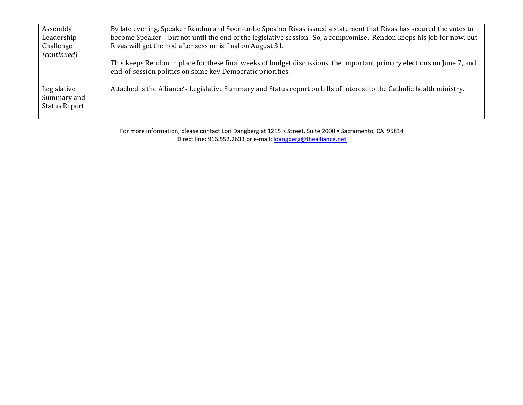| Assembly<br>Leadership<br>Challenge<br>(continued) | By late evening, Speaker Rendon and Soon-to-be Speaker Rivas issued a statement that Rivas has secured the votes to<br>become Speaker - but not until the end of the legislative session. So, a compromise. Rendon keeps his job for now, but<br>Rivas will get the nod after session is final on August 31.<br>This keeps Rendon in place for these final weeks of budget discussions, the important primary elections on June 7, and<br>end-of-session politics on some key Democratic priorities. |
|----------------------------------------------------|------------------------------------------------------------------------------------------------------------------------------------------------------------------------------------------------------------------------------------------------------------------------------------------------------------------------------------------------------------------------------------------------------------------------------------------------------------------------------------------------------|
| Legislative<br>Summary and<br><b>Status Report</b> | Attached is the Alliance's Legislative Summary and Status report on bills of interest to the Catholic health ministry.                                                                                                                                                                                                                                                                                                                                                                               |

For more information, please contact Lori Dangberg at 1215 K Street, Suite 2000 · Sacramento, CA 95814 Direct line: 916.552.2633 or e-mail: *dangberg@thealliance.net*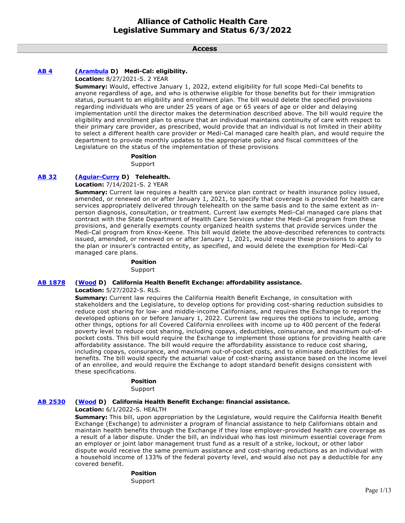**Access**

# **[AB 4](https://ctweb.capitoltrack.com/public/publishbillinfo.aspx?bi=KFYvdnrQA6jwmrfrltwrGrrFnSkRokeQ%2FM0ZywFJQAneFJv%2BL9bnd1kPGDvpRuAa) [\(Arambula](https://a31.asmdc.org/) D) Medi-Cal: eligibility.**

**Location:** 8/27/2021-S. 2 YEAR

**Summary:** Would, effective January 1, 2022, extend eligibility for full scope Medi-Cal benefits to anyone regardless of age, and who is otherwise eligible for those benefits but for their immigration status, pursuant to an eligibility and enrollment plan. The bill would delete the specified provisions regarding individuals who are under 25 years of age or 65 years of age or older and delaying implementation until the director makes the determination described above. The bill would require the eligibility and enrollment plan to ensure that an individual maintains continuity of care with respect to their primary care provider, as prescribed, would provide that an individual is not limited in their ability to select a different health care provider or Medi-Cal managed care health plan, and would require the department to provide monthly updates to the appropriate policy and fiscal committees of the Legislature on the status of the implementation of these provisions

#### **Position**

Support

# **[AB 32](https://ctweb.capitoltrack.com/public/publishbillinfo.aspx?bi=0t9Iy%2FDTsh3uhPPaP7nN4QGwXxcrKJaSU%2FCFlMIgdjHlVpWBWWvl7svuvkAHFERM) [\(Aguiar-Curry](https://a04.asmdc.org/) D) Telehealth.**

**Location:** 7/14/2021-S. 2 YEAR

**Summary:** Current law requires a health care service plan contract or health insurance policy issued, amended, or renewed on or after January 1, 2021, to specify that coverage is provided for health care services appropriately delivered through telehealth on the same basis and to the same extent as inperson diagnosis, consultation, or treatment. Current law exempts Medi-Cal managed care plans that contract with the State Department of Health Care Services under the Medi-Cal program from these provisions, and generally exempts county organized health systems that provide services under the Medi-Cal program from Knox-Keene. This bill would delete the above-described references to contracts issued, amended, or renewed on or after January 1, 2021, would require these provisions to apply to the plan or insurer's contracted entity, as specified, and would delete the exemption for Medi-Cal managed care plans.

# **Position**

Support

## **[AB 1878](https://ctweb.capitoltrack.com/public/publishbillinfo.aspx?bi=GAMwRI5IoJT9WrHL5n%2Bkp8Pl3Ngx9zMETe4nirjfzmmf5Z9HlGltw8x1zpAGdnog) [\(Wood](https://a02.asmdc.org/) D) California Health Benefit Exchange: affordability assistance.**

**Location:** 5/27/2022-S. RLS.

**Summary:** Current law requires the California Health Benefit Exchange, in consultation with stakeholders and the Legislature, to develop options for providing cost-sharing reduction subsidies to reduce cost sharing for low- and middle-income Californians, and requires the Exchange to report the developed options on or before January 1, 2022. Current law requires the options to include, among other things, options for all Covered California enrollees with income up to 400 percent of the federal poverty level to reduce cost sharing, including copays, deductibles, coinsurance, and maximum out-ofpocket costs. This bill would require the Exchange to implement those options for providing health care affordability assistance. The bill would require the affordability assistance to reduce cost sharing, including copays, coinsurance, and maximum out-of-pocket costs, and to eliminate deductibles for all benefits. The bill would specify the actuarial value of cost-sharing assistance based on the income level of an enrollee, and would require the Exchange to adopt standard benefit designs consistent with these specifications.

## **Position**

Support

## **[AB 2530](https://ctweb.capitoltrack.com/public/publishbillinfo.aspx?bi=VZsIuBPqenTBa%2FAc3wVOCMIwATlWsmbaNDO%2FSiWq%2FJG9imXKa8XljxIk1SGFNkvV) [\(Wood](https://a02.asmdc.org/) D) California Health Benefit Exchange: financial assistance.**

#### **Location:** 6/1/2022-S. HEALTH

**Summary:** This bill, upon appropriation by the Legislature, would require the California Health Benefit Exchange (Exchange) to administer a program of financial assistance to help Californians obtain and maintain health benefits through the Exchange if they lose employer-provided health care coverage as a result of a labor dispute. Under the bill, an individual who has lost minimum essential coverage from an employer or joint labor management trust fund as a result of a strike, lockout, or other labor dispute would receive the same premium assistance and cost-sharing reductions as an individual with a household income of 133% of the federal poverty level, and would also not pay a deductible for any covered benefit.

# **Position**

Support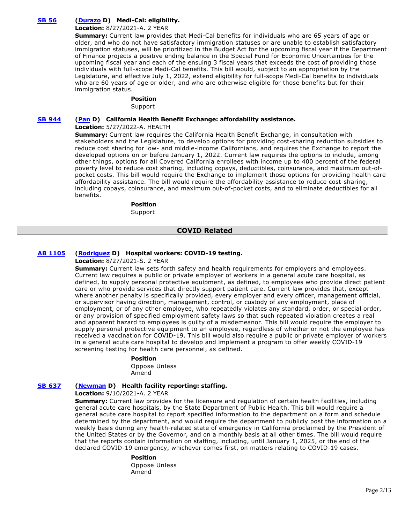# **[SB 56](https://ctweb.capitoltrack.com/public/publishbillinfo.aspx?bi=IHVUG%2FNRNIfXwOxiI9YqyDGCwMPVuHR9m0HdI%2BzVhapXlwnjfJdZucyWxXUdHS%2Fj) [\(Durazo](http://sd24.senate.ca.gov/) D) Medi-Cal: eligibility.**

# **Location:** 8/27/2021-A. 2 YEAR

**Summary:** Current law provides that Medi-Cal benefits for individuals who are 65 years of age or older, and who do not have satisfactory immigration statuses or are unable to establish satisfactory immigration statuses, will be prioritized in the Budget Act for the upcoming fiscal year if the Department of Finance projects a positive ending balance in the Special Fund for Economic Uncertainties for the upcoming fiscal year and each of the ensuing 3 fiscal years that exceeds the cost of providing those individuals with full-scope Medi-Cal benefits. This bill would, subject to an appropriation by the Legislature, and effective July 1, 2022, extend eligibility for full-scope Medi-Cal benefits to individuals who are 60 years of age or older, and who are otherwise eligible for those benefits but for their immigration status.

## **Position**

Support

# **[SB 944](https://ctweb.capitoltrack.com/public/publishbillinfo.aspx?bi=%2FzsZ5QTVs4wbwvbps%2Bp9YvPLd%2FwNRw0N4vUPcLf3yiJKWQ2NrzEMrMKckOYf9OuF) [\(Pan](http://sd06.senate.ca.gov/) D) California Health Benefit Exchange: affordability assistance.**

**Location:** 5/27/2022-A. HEALTH

**Summary:** Current law requires the California Health Benefit Exchange, in consultation with stakeholders and the Legislature, to develop options for providing cost-sharing reduction subsidies to reduce cost sharing for low- and middle-income Californians, and requires the Exchange to report the developed options on or before January 1, 2022. Current law requires the options to include, among other things, options for all Covered California enrollees with income up to 400 percent of the federal poverty level to reduce cost sharing, including copays, deductibles, coinsurance, and maximum out-ofpocket costs. This bill would require the Exchange to implement those options for providing health care affordability assistance. The bill would require the affordability assistance to reduce cost-sharing, including copays, coinsurance, and maximum out-of-pocket costs, and to eliminate deductibles for all benefits.

#### **Position**

Support

# **COVID Related**

## **[AB 1105](https://ctweb.capitoltrack.com/public/publishbillinfo.aspx?bi=hiMHI%2FFzRHqLRQcFntn%2B%2FNvArtAVnjMKOUrA1hSavVJ64vRkYFefMgHJl1S1m5oV) [\(Rodriguez](https://a52.asmdc.org/) D) Hospital workers: COVID-19 testing.**

**Location:** 8/27/2021-S. 2 YEAR

**Summary:** Current law sets forth safety and health requirements for employers and employees. Current law requires a public or private employer of workers in a general acute care hospital, as defined, to supply personal protective equipment, as defined, to employees who provide direct patient care or who provide services that directly support patient care. Current law provides that, except where another penalty is specifically provided, every employer and every officer, management official, or supervisor having direction, management, control, or custody of any employment, place of employment, or of any other employee, who repeatedly violates any standard, order, or special order, or any provision of specified employment safety laws so that such repeated violation creates a real and apparent hazard to employees is guilty of a misdemeanor. This bill would require the employer to supply personal protective equipment to an employee, regardless of whether or not the employee has received a vaccination for COVID-19. This bill would also require a public or private employer of workers in a general acute care hospital to develop and implement a program to offer weekly COVID-19 screening testing for health care personnel, as defined.

#### **Position**

Oppose Unless Amend

# **[SB 637](https://ctweb.capitoltrack.com/public/publishbillinfo.aspx?bi=jty8Oh9%2FB4LwUwfxVBDg2GE8TVcQ8Dq2QDUBofHA3ZtTvmLyiZ6pbei5GkqYnutQ) [\(Newman](https://sd29.senate.ca.gov/) D) Health facility reporting: staffing.**

**Location:** 9/10/2021-A. 2 YEAR

**Summary:** Current law provides for the licensure and regulation of certain health facilities, including general acute care hospitals, by the State Department of Public Health. This bill would require a general acute care hospital to report specified information to the department on a form and schedule determined by the department, and would require the department to publicly post the information on a weekly basis during any health-related state of emergency in California proclaimed by the President of the United States or by the Governor, and on a monthly basis at all other times. The bill would require that the reports contain information on staffing, including, until January 1, 2025, or the end of the declared COVID-19 emergency, whichever comes first, on matters relating to COVID-19 cases.

#### **Position**

Oppose Unless Amend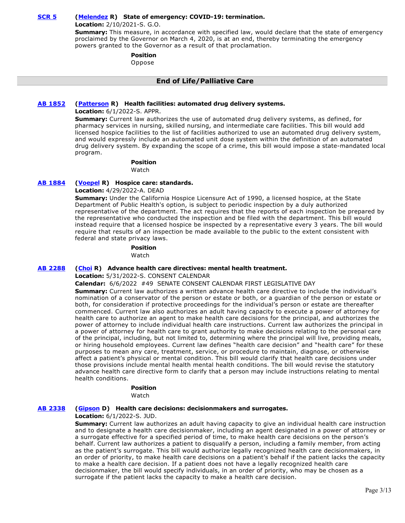## **[SCR 5](https://ctweb.capitoltrack.com/public/publishbillinfo.aspx?bi=IMfPvUiYd0qCpRDZUfOVkqwZNifCTtQ13I8EmZrXomV1qwaF0ol9OuqJ5Gl4ooe%2B) [\(Melendez](https://melendez.cssrc.us/) R) State of emergency: COVID-19: termination.**

**Location:** 2/10/2021-S. G.O.

**Summary:** This measure, in accordance with specified law, would declare that the state of emergency proclaimed by the Governor on March 4, 2020, is at an end, thereby terminating the emergency powers granted to the Governor as a result of that proclamation.

# **Position**

Oppose

# **End of Life/Palliative Care**

## **[AB 1852](https://ctweb.capitoltrack.com/public/publishbillinfo.aspx?bi=qualm%2FeNgpyo4JVNTWrO8T9CvcoE02PfTRNruTZu1vEziksjmt5ztJjoFdLRH3zD) [\(Patterson](https://ad23.asmrc.org/) R) Health facilities: automated drug delivery systems.**

**Location:** 6/1/2022-S. APPR.

**Summary:** Current law authorizes the use of automated drug delivery systems, as defined, for pharmacy services in nursing, skilled nursing, and intermediate care facilities. This bill would add licensed hospice facilities to the list of facilities authorized to use an automated drug delivery system, and would expressly include an automated unit dose system within the definition of an automated drug delivery system. By expanding the scope of a crime, this bill would impose a state-mandated local program.

#### **Position**  Watch

**[AB 1884](https://ctweb.capitoltrack.com/public/publishbillinfo.aspx?bi=IRLO150F09HcamdyQq8Vzgs7nh9ItrD2BG5rwHgbqALAzqanM1W2rX%2BmFPkhPUMr) [\(Voepel](https://ad71.asmrc.org/) R) Hospice care: standards.**

**Location:** 4/29/2022-A. DEAD

**Summary:** Under the California Hospice Licensure Act of 1990, a licensed hospice, at the State Department of Public Health's option, is subject to periodic inspection by a duly authorized representative of the department. The act requires that the reports of each inspection be prepared by the representative who conducted the inspection and be filed with the department. This bill would instead require that a licensed hospice be inspected by a representative every 3 years. The bill would require that results of an inspection be made available to the public to the extent consistent with federal and state privacy laws.

## **Position**

Watch

#### **[AB 2288](https://ctweb.capitoltrack.com/public/publishbillinfo.aspx?bi=8c%2FVel10Jx83p5eIMZPHKV8DGDS1Sz6uWw6AVtQYGCxcUPvvWBLXATEKpde3pwAP) [\(Choi](https://ad68.asmrc.org/) R) Advance health care directives: mental health treatment.**

**Location:** 5/31/2022-S. CONSENT CALENDAR

#### **Calendar:** 6/6/2022 #49 SENATE CONSENT CALENDAR FIRST LEGISLATIVE DAY

**Summary:** Current law authorizes a written advance health care directive to include the individual's nomination of a conservator of the person or estate or both, or a guardian of the person or estate or both, for consideration if protective proceedings for the individual's person or estate are thereafter commenced. Current law also authorizes an adult having capacity to execute a power of attorney for health care to authorize an agent to make health care decisions for the principal, and authorizes the power of attorney to include individual health care instructions. Current law authorizes the principal in a power of attorney for health care to grant authority to make decisions relating to the personal care of the principal, including, but not limited to, determining where the principal will live, providing meals, or hiring household employees. Current law defines "health care decision" and "health care" for these purposes to mean any care, treatment, service, or procedure to maintain, diagnose, or otherwise affect a patient's physical or mental condition. This bill would clarify that health care decisions under those provisions include mental health mental health conditions. The bill would revise the statutory advance health care directive form to clarify that a person may include instructions relating to mental health conditions.

## **Position**

Watch

#### **[AB 2338](https://ctweb.capitoltrack.com/public/publishbillinfo.aspx?bi=Ub8m8V4g1oocGgpChFB9sihH%2FmaIwllM7ISC2afdUyBBvuf4PvZaAQlpFci1laP1) [\(Gipson](https://a64.asmdc.org/) D) Health care decisions: decisionmakers and surrogates.**

## **Location:** 6/1/2022-S. JUD.

**Summary:** Current law authorizes an adult having capacity to give an individual health care instruction and to designate a health care decisionmaker, including an agent designated in a power of attorney or a surrogate effective for a specified period of time, to make health care decisions on the person's behalf. Current law authorizes a patient to disqualify a person, including a family member, from acting as the patient's surrogate. This bill would authorize legally recognized health care decisionmakers, in an order of priority, to make health care decisions on a patient's behalf if the patient lacks the capacity to make a health care decision. If a patient does not have a legally recognized health care decisionmaker, the bill would specify individuals, in an order of priority, who may be chosen as a surrogate if the patient lacks the capacity to make a health care decision.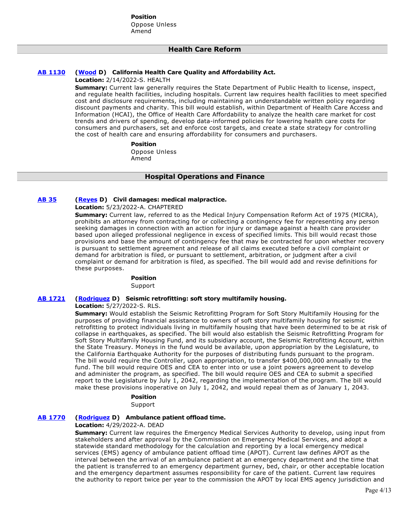**Position**  Oppose Unless Amend

# **Health Care Reform**

## **[AB 1130](https://ctweb.capitoltrack.com/public/publishbillinfo.aspx?bi=%2F4z9i3w3Ci6H9IC%2FhaF12B%2FZNVr8Dnz3doTjoBJ49C99Q647aqTNngzgXS1VHZrx) [\(Wood](https://a02.asmdc.org/) D) California Health Care Quality and Affordability Act.**

**Location:** 2/14/2022-S. HEALTH

**Summary:** Current law generally requires the State Department of Public Health to license, inspect, and regulate health facilities, including hospitals. Current law requires health facilities to meet specified cost and disclosure requirements, including maintaining an understandable written policy regarding discount payments and charity. This bill would establish, within Department of Health Care Access and Information (HCAI), the Office of Health Care Affordability to analyze the health care market for cost trends and drivers of spending, develop data-informed policies for lowering health care costs for consumers and purchasers, set and enforce cost targets, and create a state strategy for controlling the cost of health care and ensuring affordability for consumers and purchasers.

**Position** 

Oppose Unless Amend

## **Hospital Operations and Finance**

## **[AB 35](https://ctweb.capitoltrack.com/public/publishbillinfo.aspx?bi=7Y0gKL9VlIU7ThSmQw%2FYv1jbhBJT%2FD8SYj2%2F91VOlPOLXgPlhuYR%2ByClgxoYCP8R) [\(Reyes](https://a47.asmdc.org/) D) Civil damages: medical malpractice.**

**Location:** 5/23/2022-A. CHAPTERED

**Summary:** Current law, referred to as the Medical Injury Compensation Reform Act of 1975 (MICRA), prohibits an attorney from contracting for or collecting a contingency fee for representing any person seeking damages in connection with an action for injury or damage against a health care provider based upon alleged professional negligence in excess of specified limits. This bill would recast those provisions and base the amount of contingency fee that may be contracted for upon whether recovery is pursuant to settlement agreement and release of all claims executed before a civil complaint or demand for arbitration is filed, or pursuant to settlement, arbitration, or judgment after a civil complaint or demand for arbitration is filed, as specified. The bill would add and revise definitions for these purposes.

#### **Position**

Support

# **[AB 1721](https://ctweb.capitoltrack.com/public/publishbillinfo.aspx?bi=2DXSbYZ%2FPT33bNVVbh0xFVpPg4qFn9Sf58vg1MaGfor56R%2BLQd6Ry%2FZHhRFU0o0T) [\(Rodriguez](https://a52.asmdc.org/) D) Seismic retrofitting: soft story multifamily housing.**

**Location:** 5/27/2022-S. RLS.

**Summary:** Would establish the Seismic Retrofitting Program for Soft Story Multifamily Housing for the purposes of providing financial assistance to owners of soft story multifamily housing for seismic retrofitting to protect individuals living in multifamily housing that have been determined to be at risk of collapse in earthquakes, as specified. The bill would also establish the Seismic Retrofitting Program for Soft Story Multifamily Housing Fund, and its subsidiary account, the Seismic Retrofitting Account, within the State Treasury. Moneys in the fund would be available, upon appropriation by the Legislature, to the California Earthquake Authority for the purposes of distributing funds pursuant to the program. The bill would require the Controller, upon appropriation, to transfer \$400,000,000 annually to the fund. The bill would require OES and CEA to enter into or use a joint powers agreement to develop and administer the program, as specified. The bill would require OES and CEA to submit a specified report to the Legislature by July 1, 2042, regarding the implementation of the program. The bill would make these provisions inoperative on July 1, 2042, and would repeal them as of January 1, 2043.

**Position** 

Support

## **[AB 1770](https://ctweb.capitoltrack.com/public/publishbillinfo.aspx?bi=XaWwKp6vCvEZ12HaJ6ASnMC6ejVZZzMJbXQM9xrTDsAmydW8yIU2WZ1CZM4uH35Y) [\(Rodriguez](https://a52.asmdc.org/) D) Ambulance patient offload time.**

#### **Location:** 4/29/2022-A. DEAD

**Summary:** Current law requires the Emergency Medical Services Authority to develop, using input from stakeholders and after approval by the Commission on Emergency Medical Services, and adopt a statewide standard methodology for the calculation and reporting by a local emergency medical services (EMS) agency of ambulance patient offload time (APOT). Current law defines APOT as the interval between the arrival of an ambulance patient at an emergency department and the time that the patient is transferred to an emergency department gurney, bed, chair, or other acceptable location and the emergency department assumes responsibility for care of the patient. Current law requires the authority to report twice per year to the commission the APOT by local EMS agency jurisdiction and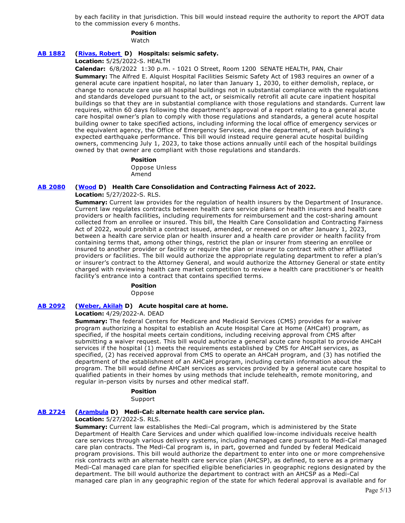by each facility in that jurisdiction. This bill would instead require the authority to report the APOT data to the commission every 6 months.

# **Position**

Watch

# **[AB 1882](https://ctweb.capitoltrack.com/public/publishbillinfo.aspx?bi=VPXAvDj9pG%2FqwduV4rLG761q0j5l7nLqcVa9%2FuXBzFKRhN9Jnm5qbtXyicq%2B7zSQ) [\(Rivas, Robert](https://a30.asmdc.org/)  D) Hospitals: seismic safety.**

**Location:** 5/25/2022-S. HEALTH

**Calendar:** 6/8/2022 1:30 p.m. - 1021 O Street, Room 1200 SENATE HEALTH, PAN, Chair

**Summary:** The Alfred E. Alquist Hospital Facilities Seismic Safety Act of 1983 requires an owner of a general acute care inpatient hospital, no later than January 1, 2030, to either demolish, replace, or change to nonacute care use all hospital buildings not in substantial compliance with the regulations and standards developed pursuant to the act, or seismically retrofit all acute care inpatient hospital buildings so that they are in substantial compliance with those regulations and standards. Current law requires, within 60 days following the department's approval of a report relating to a general acute care hospital owner's plan to comply with those regulations and standards, a general acute hospital building owner to take specified actions, including informing the local office of emergency services or the equivalent agency, the Office of Emergency Services, and the department, of each building's expected earthquake performance. This bill would instead require general acute hospital building owners, commencing July 1, 2023, to take those actions annually until each of the hospital buildings owned by that owner are compliant with those regulations and standards.

#### **Position**  Oppose Unless Amend

# **[AB 2080](https://ctweb.capitoltrack.com/public/publishbillinfo.aspx?bi=BrMjSa%2Fp%2B1el0x0mo99xnVN%2F4Zn67hWfXnFDoLyihAQ6jctZGFDaEIKaaRhMBJoG) [\(Wood](https://a02.asmdc.org/) D) Health Care Consolidation and Contracting Fairness Act of 2022.**

## **Location:** 5/27/2022-S. RLS.

**Summary:** Current law provides for the regulation of health insurers by the Department of Insurance. Current law regulates contracts between health care service plans or health insurers and health care providers or health facilities, including requirements for reimbursement and the cost-sharing amount collected from an enrollee or insured. This bill, the Health Care Consolidation and Contracting Fairness Act of 2022, would prohibit a contract issued, amended, or renewed on or after January 1, 2023, between a health care service plan or health insurer and a health care provider or health facility from containing terms that, among other things, restrict the plan or insurer from steering an enrollee or insured to another provider or facility or require the plan or insurer to contract with other affiliated providers or facilities. The bill would authorize the appropriate regulating department to refer a plan's or insurer's contract to the Attorney General, and would authorize the Attorney General or state entity charged with reviewing health care market competition to review a health care practitioner's or health facility's entrance into a contract that contains specified terms.

## **Position**

Oppose

# **[AB 2092](https://ctweb.capitoltrack.com/public/publishbillinfo.aspx?bi=TKMkEJtbutzzyr%2ByT%2Bv4P45j%2BAilM0MXEXRwQF119YNhqJLmja3bRhs3ka1s57Wk) [\(Weber, Akilah](https://a79.asmdc.org/) D) Acute hospital care at home.**

#### **Location:** 4/29/2022-A. DEAD

**Summary:** The federal Centers for Medicare and Medicaid Services (CMS) provides for a waiver program authorizing a hospital to establish an Acute Hospital Care at Home (AHCaH) program, as specified, if the hospital meets certain conditions, including receiving approval from CMS after submitting a waiver request. This bill would authorize a general acute care hospital to provide AHCaH services if the hospital (1) meets the requirements established by CMS for AHCaH services, as specified, (2) has received approval from CMS to operate an AHCaH program, and (3) has notified the department of the establishment of an AHCaH program, including certain information about the program. The bill would define AHCaH services as services provided by a general acute care hospital to qualified patients in their homes by using methods that include telehealth, remote monitoring, and regular in-person visits by nurses and other medical staff.

# **Position**

Support

#### **[AB 2724](https://ctweb.capitoltrack.com/public/publishbillinfo.aspx?bi=87zZT%2BgcOhFNBkX00iCCDlRJesDpMdThi05DVxph1WMjt4wiQHTVchVtgdOI00s5) [\(Arambula](https://a31.asmdc.org/) D) Medi-Cal: alternate health care service plan.**

#### **Location:** 5/27/2022-S. RLS.

**Summary:** Current law establishes the Medi-Cal program, which is administered by the State Department of Health Care Services and under which qualified low-income individuals receive health care services through various delivery systems, including managed care pursuant to Medi-Cal managed care plan contracts. The Medi-Cal program is, in part, governed and funded by federal Medicaid program provisions. This bill would authorize the department to enter into one or more comprehensive risk contracts with an alternate health care service plan (AHCSP), as defined, to serve as a primary Medi-Cal managed care plan for specified eligible beneficiaries in geographic regions designated by the department. The bill would authorize the department to contract with an AHCSP as a Medi-Cal managed care plan in any geographic region of the state for which federal approval is available and for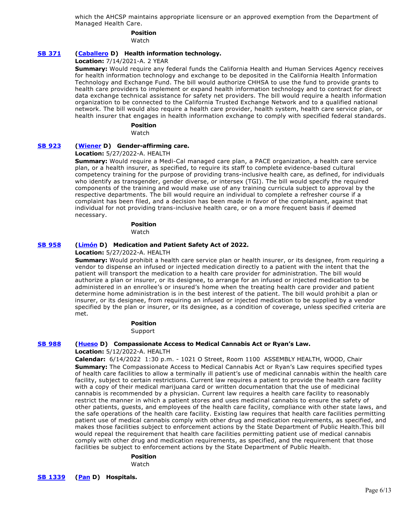which the AHCSP maintains appropriate licensure or an approved exemption from the Department of Managed Health Care.

# **Position**

Watch

# **[SB 371](https://ctweb.capitoltrack.com/public/publishbillinfo.aspx?bi=FKwFW94dXa0YDM7%2FpE%2Fd%2FQvILqz%2BYUfpxz%2FPoEZWfSJmws%2Fn2%2F58%2B%2BM0%2BQkCCvcS) [\(Caballero](https://sd12.senate.ca.gov/) D) Health information technology.**

**Location:** 7/14/2021-A. 2 YEAR

**Summary:** Would require any federal funds the California Health and Human Services Agency receives for health information technology and exchange to be deposited in the California Health Information Technology and Exchange Fund. The bill would authorize CHHSA to use the fund to provide grants to health care providers to implement or expand health information technology and to contract for direct data exchange technical assistance for safety net providers. The bill would require a health information organization to be connected to the California Trusted Exchange Network and to a qualified national network. The bill would also require a health care provider, health system, health care service plan, or health insurer that engages in health information exchange to comply with specified federal standards.

## **Position**

Watch

## **[SB 923](https://ctweb.capitoltrack.com/public/publishbillinfo.aspx?bi=39pazsEbiOuX5VLjSaWCmTpAMGWuE9SkxQBy5CHsmAeEKA46%2B7M3zeKfcJ1Ac4e6) [\(Wiener](http://sd11.senate.ca.gov/) D) Gender-affirming care.**

**Location:** 5/27/2022-A. HEALTH

**Summary:** Would require a Medi-Cal managed care plan, a PACE organization, a health care service plan, or a health insurer, as specified, to require its staff to complete evidence-based cultural competency training for the purpose of providing trans-inclusive health care, as defined, for individuals who identify as transgender, gender diverse, or intersex (TGI). The bill would specify the required components of the training and would make use of any training curricula subject to approval by the respective departments. The bill would require an individual to complete a refresher course if a complaint has been filed, and a decision has been made in favor of the complainant, against that individual for not providing trans-inclusive health care, or on a more frequent basis if deemed necessary.

## **Position**

Watch

## **[SB 958](https://ctweb.capitoltrack.com/public/publishbillinfo.aspx?bi=TmxQzrW7K42F5U7topB%2Fsd6BFt9G9v5WzRLRsZkfrXtFhSBM%2BYWUSmRBcBAbfmA2) [\(Limón](http://sd19.senate.ca.gov/) D) Medication and Patient Safety Act of 2022.**

## **Location:** 5/27/2022-A. HEALTH

**Summary:** Would prohibit a health care service plan or health insurer, or its designee, from requiring a vendor to dispense an infused or injected medication directly to a patient with the intent that the patient will transport the medication to a health care provider for administration. The bill would authorize a plan or insurer, or its designee, to arrange for an infused or injected medication to be administered in an enrollee's or insured's home when the treating health care provider and patient determine home administration is in the best interest of the patient. The bill would prohibit a plan or insurer, or its designee, from requiring an infused or injected medication to be supplied by a vendor specified by the plan or insurer, or its designee, as a condition of coverage, unless specified criteria are met.

## **Position**

Support

## **[SB 988](https://ctweb.capitoltrack.com/public/publishbillinfo.aspx?bi=F7CG%2BT%2BNdNyOJ507U6RjjvW7rDsASagLmcuZ64LyFVUAHXbTn9BlVmjyYTgF1QL6) [\(Hueso](http://sd40.senate.ca.gov/) D) Compassionate Access to Medical Cannabis Act or Ryan's Law.**

**Location:** 5/12/2022-A. HEALTH

**Calendar:** 6/14/2022 1:30 p.m. - 1021 O Street, Room 1100 ASSEMBLY HEALTH, WOOD, Chair **Summary:** The Compassionate Access to Medical Cannabis Act or Ryan's Law requires specified types of health care facilities to allow a terminally ill patient's use of medicinal cannabis within the health care facility, subject to certain restrictions. Current law requires a patient to provide the health care facility with a copy of their medical marijuana card or written documentation that the use of medicinal cannabis is recommended by a physician. Current law requires a health care facility to reasonably restrict the manner in which a patient stores and uses medicinal cannabis to ensure the safety of other patients, guests, and employees of the health care facility, compliance with other state laws, and the safe operations of the health care facility. Existing law requires that health care facilities permitting patient use of medical cannabis comply with other drug and medication requirements, as specified, and makes those facilities subject to enforcement actions by the State Department of Public Health.This bill would repeal the requirement that health care facilities permitting patient use of medical cannabis comply with other drug and medication requirements, as specified, and the requirement that those facilities be subject to enforcement actions by the State Department of Public Health.

## **Position**

Watch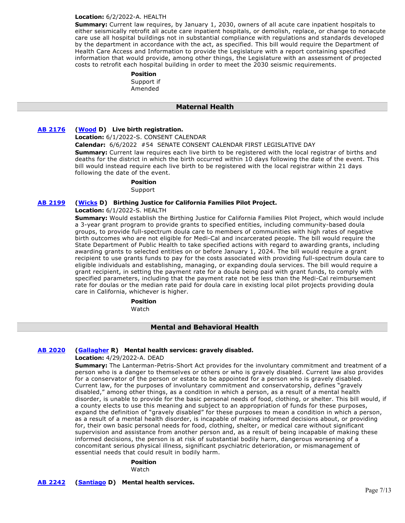#### **Location:** 6/2/2022-A. HEALTH

**Summary:** Current law requires, by January 1, 2030, owners of all acute care inpatient hospitals to either seismically retrofit all acute care inpatient hospitals, or demolish, replace, or change to nonacute care use all hospital buildings not in substantial compliance with regulations and standards developed by the department in accordance with the act, as specified. This bill would require the Department of Health Care Access and Information to provide the Legislature with a report containing specified information that would provide, among other things, the Legislature with an assessment of projected costs to retrofit each hospital building in order to meet the 2030 seismic requirements.

# **Position**

Support if Amended

## **Maternal Health**

## **[AB 2176](https://ctweb.capitoltrack.com/public/publishbillinfo.aspx?bi=HR5stFFQM15tK2ecm1FQBtQ2R9yfZG%2F%2FxuYPRWUzWzI3lF7e%2FBS%2FdDYhYzD3Z1Jp) [\(Wood](https://a02.asmdc.org/) D) Live birth registration.**

**Location:** 6/1/2022-S. CONSENT CALENDAR

**Calendar:** 6/6/2022 #54 SENATE CONSENT CALENDAR FIRST LEGISLATIVE DAY

**Summary:** Current law requires each live birth to be registered with the local registrar of births and deaths for the district in which the birth occurred within 10 days following the date of the event. This bill would instead require each live birth to be registered with the local registrar within 21 days following the date of the event.

## **Position**

Support

## **[AB 2199](https://ctweb.capitoltrack.com/public/publishbillinfo.aspx?bi=B97llTW33MVSMinNtoGET%2Fw1JtFyrvCEcXQnAzzfEb%2B%2BbT%2B%2BVjbwDDHRNwo4DirP) [\(Wicks](https://a15.asmdc.org/) D) Birthing Justice for California Families Pilot Project.**

## **Location:** 6/1/2022-S. HEALTH

**Summary:** Would establish the Birthing Justice for California Families Pilot Project, which would include a 3-year grant program to provide grants to specified entities, including community-based doula groups, to provide full-spectrum doula care to members of communities with high rates of negative birth outcomes who are not eligible for Medi-Cal and incarcerated people. The bill would require the State Department of Public Health to take specified actions with regard to awarding grants, including awarding grants to selected entities on or before January 1, 2024. The bill would require a grant recipient to use grants funds to pay for the costs associated with providing full-spectrum doula care to eligible individuals and establishing, managing, or expanding doula services. The bill would require a grant recipient, in setting the payment rate for a doula being paid with grant funds, to comply with specified parameters, including that the payment rate not be less than the Medi-Cal reimbursement rate for doulas or the median rate paid for doula care in existing local pilot projects providing doula care in California, whichever is higher.

**Position** 

Watch

## **Mental and Behavioral Health**

## **[AB 2020](https://ctweb.capitoltrack.com/public/publishbillinfo.aspx?bi=tS0WXa6hk%2Fc9UYHKryiX1wE7IUFxx7OxylcghZMJ%2BRIrueMd8SBj9OfzN6y3RCul) [\(Gallagher](http://ad03.asmrc.org/) R) Mental health services: gravely disabled.**

#### **Location:** 4/29/2022-A. DEAD

**Summary:** The Lanterman-Petris-Short Act provides for the involuntary commitment and treatment of a person who is a danger to themselves or others or who is gravely disabled. Current law also provides for a conservator of the person or estate to be appointed for a person who is gravely disabled. Current law, for the purposes of involuntary commitment and conservatorship, defines "gravely disabled," among other things, as a condition in which a person, as a result of a mental health disorder, is unable to provide for the basic personal needs of food, clothing, or shelter. This bill would, if a county elects to use this meaning and subject to an appropriation of funds for these purposes, expand the definition of "gravely disabled" for these purposes to mean a condition in which a person, as a result of a mental health disorder, is incapable of making informed decisions about, or providing for, their own basic personal needs for food, clothing, shelter, or medical care without significant supervision and assistance from another person and, as a result of being incapable of making these informed decisions, the person is at risk of substantial bodily harm, dangerous worsening of a concomitant serious physical illness, significant psychiatric deterioration, or mismanagement of essential needs that could result in bodily harm.

#### **Position**

Watch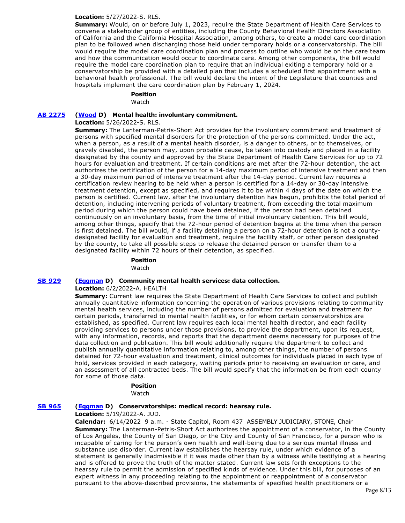## **Location:** 5/27/2022-S. RLS.

**Summary:** Would, on or before July 1, 2023, require the State Department of Health Care Services to convene a stakeholder group of entities, including the County Behavioral Health Directors Association of California and the California Hospital Association, among others, to create a model care coordination plan to be followed when discharging those held under temporary holds or a conservatorship. The bill would require the model care coordination plan and process to outline who would be on the care team and how the communication would occur to coordinate care. Among other components, the bill would require the model care coordination plan to require that an individual exiting a temporary hold or a conservatorship be provided with a detailed plan that includes a scheduled first appointment with a behavioral health professional. The bill would declare the intent of the Legislature that counties and hospitals implement the care coordination plan by February 1, 2024.

# **Position**

Watch

## **[AB 2275](https://ctweb.capitoltrack.com/public/publishbillinfo.aspx?bi=6%2B4eC%2F2OHK4kZpkW4rQYXdsRhhq65kyQXKEeISRQgKwMRP5lhgytut8yJKWj%2Bb%2F%2B) [\(Wood](https://a02.asmdc.org/) D) Mental health: involuntary commitment.**

**Location:** 5/26/2022-S. RLS.

**Summary:** The Lanterman-Petris-Short Act provides for the involuntary commitment and treatment of persons with specified mental disorders for the protection of the persons committed. Under the act, when a person, as a result of a mental health disorder, is a danger to others, or to themselves, or gravely disabled, the person may, upon probable cause, be taken into custody and placed in a facility designated by the county and approved by the State Department of Health Care Services for up to 72 hours for evaluation and treatment. If certain conditions are met after the 72-hour detention, the act authorizes the certification of the person for a 14-day maximum period of intensive treatment and then a 30-day maximum period of intensive treatment after the 14-day period. Current law requires a certification review hearing to be held when a person is certified for a 14-day or 30-day intensive treatment detention, except as specified, and requires it to be within 4 days of the date on which the person is certified. Current law, after the involuntary detention has begun, prohibits the total period of detention, including intervening periods of voluntary treatment, from exceeding the total maximum period during which the person could have been detained, if the person had been detained continuously on an involuntary basis, from the time of initial involuntary detention. This bill would, among other things, specify that the 72-hour period of detention begins at the time when the person is first detained. The bill would, if a facility detaining a person on a 72-hour detention is not a countydesignated facility for evaluation and treatment, require the facility staff, or other person designated by the county, to take all possible steps to release the detained person or transfer them to a designated facility within 72 hours of their detention, as specified.

> **Position**  Watch

## **[SB 929](https://ctweb.capitoltrack.com/public/publishbillinfo.aspx?bi=K1EgGJfTiuEq7osejnFiAvKE0cv5VAYh3Egp6x3ASrir6ID8%2BVA4DnZaIUHlfT%2Bp) [\(Eggman](http://sd05.senate.ca.gov/) D) Community mental health services: data collection.**

#### **Location:** 6/2/2022-A. HEALTH

**Summary:** Current law requires the State Department of Health Care Services to collect and publish annually quantitative information concerning the operation of various provisions relating to community mental health services, including the number of persons admitted for evaluation and treatment for certain periods, transferred to mental health facilities, or for whom certain conservatorships are established, as specified. Current law requires each local mental health director, and each facility providing services to persons under those provisions, to provide the department, upon its request, with any information, records, and reports that the department deems necessary for purposes of the data collection and publication. This bill would additionally require the department to collect and publish annually quantitative information relating to, among other things, the number of persons detained for 72-hour evaluation and treatment, clinical outcomes for individuals placed in each type of hold, services provided in each category, waiting periods prior to receiving an evaluation or care, and an assessment of all contracted beds. The bill would specify that the information be from each county for some of those data.

## **Position**

Watch

# **[SB 965](https://ctweb.capitoltrack.com/public/publishbillinfo.aspx?bi=EcBoEmtCkfUIgWFS60%2BT2jNFPGjQW4TEFSyUZPg5nHkbDrTBqIA0Hg4CBeChnTGO) [\(Eggman](http://sd05.senate.ca.gov/) D) Conservatorships: medical record: hearsay rule.**

## **Location:** 5/19/2022-A. JUD.

**Calendar:** 6/14/2022 9 a.m. - State Capitol, Room 437 ASSEMBLY JUDICIARY, STONE, Chair **Summary:** The Lanterman-Petris-Short Act authorizes the appointment of a conservator, in the County of Los Angeles, the County of San Diego, or the City and County of San Francisco, for a person who is incapable of caring for the person's own health and well-being due to a serious mental illness and substance use disorder. Current law establishes the hearsay rule, under which evidence of a statement is generally inadmissible if it was made other than by a witness while testifying at a hearing and is offered to prove the truth of the matter stated. Current law sets forth exceptions to the hearsay rule to permit the admission of specified kinds of evidence. Under this bill, for purposes of an expert witness in any proceeding relating to the appointment or reappointment of a conservator pursuant to the above-described provisions, the statements of specified health practitioners or a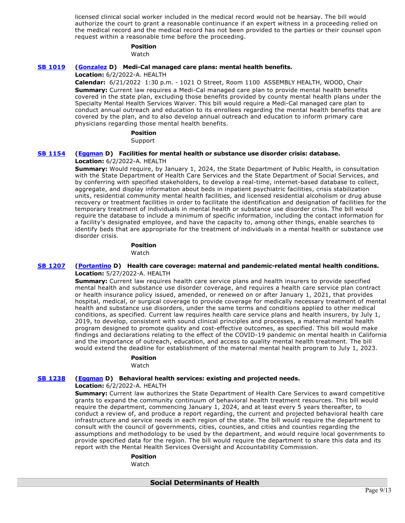licensed clinical social worker included in the medical record would not be hearsay. The bill would authorize the court to grant a reasonable continuance if an expert witness in a proceeding relied on the medical record and the medical record has not been provided to the parties or their counsel upon request within a reasonable time before the proceeding.

#### **Position**

Watch

# **[SB 1019](https://ctweb.capitoltrack.com/public/publishbillinfo.aspx?bi=CB4uoxlx3KlgPDSkItME2Mct4%2BnWQivAzuUEA%2FGtJKGOZVg9zDoiwk%2FgdZsrbHgM) [\(Gonzalez](https://sd33.senate.ca.gov/) D) Medi-Cal managed care plans: mental health benefits.**

## **Location:** 6/2/2022-A. HEALTH

**Calendar:** 6/21/2022 1:30 p.m. - 1021 O Street, Room 1100 ASSEMBLY HEALTH, WOOD, Chair **Summary:** Current law requires a Medi-Cal managed care plan to provide mental health benefits covered in the state plan, excluding those benefits provided by county mental health plans under the Specialty Mental Health Services Waiver. This bill would require a Medi-Cal managed care plan to conduct annual outreach and education to its enrollees regarding the mental health benefits that are covered by the plan, and to also develop annual outreach and education to inform primary care physicians regarding those mental health benefits.

#### **Position**

Support

# **[SB 1154](https://ctweb.capitoltrack.com/public/publishbillinfo.aspx?bi=SIKAOyzcp9FkyXJhcMR9GR2Egtn5F2XPT8llha1sFjI3%2Bfiu9BuGN6dHSamI%2BSLc) [\(Eggman](http://sd05.senate.ca.gov/) D) Facilities for mental health or substance use disorder crisis: database.**

## **Location:** 6/2/2022-A. HEALTH

**Summary:** Would require, by January 1, 2024, the State Department of Public Health, in consultation with the State Department of Health Care Services and the State Department of Social Services, and by conferring with specified stakeholders, to develop a real-time, internet-based database to collect, aggregate, and display information about beds in inpatient psychiatric facilities, crisis stabilization units, residential community mental health facilities, and licensed residential alcoholism or drug abuse recovery or treatment facilities in order to facilitate the identification and designation of facilities for the temporary treatment of individuals in mental health or substance use disorder crisis. The bill would require the database to include a minimum of specific information, including the contact information for a facility's designated employee, and have the capacity to, among other things, enable searches to identify beds that are appropriate for the treatment of individuals in a mental health or substance use disorder crisis.

# **Position**

Watch

## **[SB 1207](https://ctweb.capitoltrack.com/public/publishbillinfo.aspx?bi=BfIx7qoFszHnGuBPvgrsCNlzVb%2FguaISm4gq8vZJ8vplHToKryThIU6CglO4oR8I) [\(Portantino](http://sd25.senate.ca.gov/) D) Health care coverage: maternal and pandemic-related mental health conditions. Location:** 5/27/2022-A. HEALTH

**Summary:** Current law requires health care service plans and health insurers to provide specified mental health and substance use disorder coverage, and requires a health care service plan contract or health insurance policy issued, amended, or renewed on or after January 1, 2021, that provides hospital, medical, or surgical coverage to provide coverage for medically necessary treatment of mental health and substance use disorders, under the same terms and conditions applied to other medical conditions, as specified. Current law requires health care service plans and health insurers, by July 1, 2019, to develop, consistent with sound clinical principles and processes, a maternal mental health program designed to promote quality and cost-effective outcomes, as specified. This bill would make findings and declarations relating to the effect of the COVID-19 pandemic on mental health in California and the importance of outreach, education, and access to quality mental health treatment. The bill would extend the deadline for establishment of the maternal mental health program to July 1, 2023.

# **Position**

## **Watch**

## **[SB 1238](https://ctweb.capitoltrack.com/public/publishbillinfo.aspx?bi=OjZg0htuH1gY6vn7BX7VkAtMWvftGXa2GK50z6GXmrUtrSNlmId1%2BKxskLJFZ7oZ) [\(Eggman](http://sd05.senate.ca.gov/) D) Behavioral health services: existing and projected needs.**

## **Location:** 6/2/2022-A. HEALTH

**Summary:** Current law authorizes the State Department of Health Care Services to award competitive grants to expand the community continuum of behavioral health treatment resources. This bill would require the department, commencing January 1, 2024, and at least every 5 years thereafter, to conduct a review of, and produce a report regarding, the current and projected behavioral health care infrastructure and service needs in each region of the state. The bill would require the department to consult with the council of governments, cities, counties, and cities and counties regarding the assumptions and methodology to be used by the department, and would require local governments to provide specified data for the region. The bill would require the department to share this data and its report with the Mental Health Services Oversight and Accountability Commission.

## **Position**

**Watch**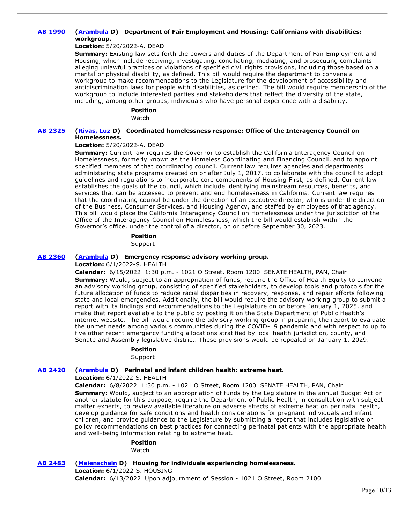# **[AB 1990](https://ctweb.capitoltrack.com/public/publishbillinfo.aspx?bi=yj9bY3m9DIhQHIRAyYA9MCUQhJJFoBJcqUtIgQ6jAR0ciLmv8w%2BI7yw92Fqj9EQq) [\(Arambula](https://a31.asmdc.org/) D) Department of Fair Employment and Housing: Californians with disabilities: workgroup.**

## **Location:** 5/20/2022-A. DEAD

**Summary:** Existing law sets forth the powers and duties of the Department of Fair Employment and Housing, which include receiving, investigating, conciliating, mediating, and prosecuting complaints alleging unlawful practices or violations of specified civil rights provisions, including those based on a mental or physical disability, as defined. This bill would require the department to convene a workgroup to make recommendations to the Legislature for the development of accessibility and antidiscrimination laws for people with disabilities, as defined. The bill would require membership of the workgroup to include interested parties and stakeholders that reflect the diversity of the state, including, among other groups, individuals who have personal experience with a disability.

## **Position**

Watch

## **[AB 2325](https://ctweb.capitoltrack.com/public/publishbillinfo.aspx?bi=a5evlwACzysVv6pvP%2FzjuKuSFgvQ0e7Y8G6Vaaz7r8kY70JSByZQQohGBKdnVn68) [\(Rivas, Luz](https://a39.asmdc.org/) D) Coordinated homelessness response: Office of the Interagency Council on Homelessness.**

## **Location:** 5/20/2022-A. DEAD

**Summary:** Current law requires the Governor to establish the California Interagency Council on Homelessness, formerly known as the Homeless Coordinating and Financing Council, and to appoint specified members of that coordinating council. Current law requires agencies and departments administering state programs created on or after July 1, 2017, to collaborate with the council to adopt guidelines and regulations to incorporate core components of Housing First, as defined. Current law establishes the goals of the council, which include identifying mainstream resources, benefits, and services that can be accessed to prevent and end homelessness in California. Current law requires that the coordinating council be under the direction of an executive director, who is under the direction of the Business, Consumer Services, and Housing Agency, and staffed by employees of that agency. This bill would place the California Interagency Council on Homelessness under the jurisdiction of the Office of the Interagency Council on Homelessness, which the bill would establish within the Governor's office, under the control of a director, on or before September 30, 2023.

#### **Position**

Support

## **[AB 2360](https://ctweb.capitoltrack.com/public/publishbillinfo.aspx?bi=S4o5WDo9%2B9AfENOBq%2BBIePxxgnNqMH86Fznz%2F0bytCshN%2BV4xg6B4KMdUbdPaY%2B9) [\(Arambula](https://a31.asmdc.org/) D) Emergency response advisory working group.**

**Location:** 6/1/2022-S. HEALTH

**Calendar:** 6/15/2022 1:30 p.m. - 1021 O Street, Room 1200 SENATE HEALTH, PAN, Chair **Summary:** Would, subject to an appropriation of funds, require the Office of Health Equity to convene an advisory working group, consisting of specified stakeholders, to develop tools and protocols for the future allocation of funds to reduce racial disparities in recovery, response, and repair efforts following state and local emergencies. Additionally, the bill would require the advisory working group to submit a report with its findings and recommendations to the Legislature on or before January 1, 2025, and make that report available to the public by posting it on the State Department of Public Health's internet website. The bill would require the advisory working group in preparing the report to evaluate the unmet needs among various communities during the COVID-19 pandemic and with respect to up to five other recent emergency funding allocations stratified by local health jurisdiction, county, and Senate and Assembly legislative district. These provisions would be repealed on January 1, 2029.

# **Position**

Support

# **[AB 2420](https://ctweb.capitoltrack.com/public/publishbillinfo.aspx?bi=oICQ%2FFgYItZLolaL2dRDXnfClKQLofva2wZPE9pvuqaKp6tjCi9Mk3wWwr3hpRlR) [\(Arambula](https://a31.asmdc.org/) D) Perinatal and infant children health: extreme heat.**

**Location:** 6/1/2022-S. HEALTH

**Calendar:** 6/8/2022 1:30 p.m. - 1021 O Street, Room 1200 SENATE HEALTH, PAN, Chair **Summary:** Would, subject to an appropriation of funds by the Legislature in the annual Budget Act or another statute for this purpose, require the Department of Public Health, in consultation with subject matter experts, to review available literature on adverse effects of extreme heat on perinatal health, develop guidance for safe conditions and health considerations for pregnant individuals and infant children, and provide guidance to the Legislature by submitting a report that includes legislative or policy recommendations on best practices for connecting perinatal patients with the appropriate health and well-being information relating to extreme heat.

#### **Position**

Watch

**[AB 2483](https://ctweb.capitoltrack.com/public/publishbillinfo.aspx?bi=D8ALISlvGWriTRFrh2c7xhf%2FvkYFV1T4CcvaFlaTPiwF%2Bwy2I%2FveD5vs1jcbsWSA) [\(Maienschein](https://a77.asmdc.org/) D) Housing for individuals experiencing homelessness. Location:** 6/1/2022-S. HOUSING **Calendar:** 6/13/2022 Upon adjournment of Session - 1021 O Street, Room 2100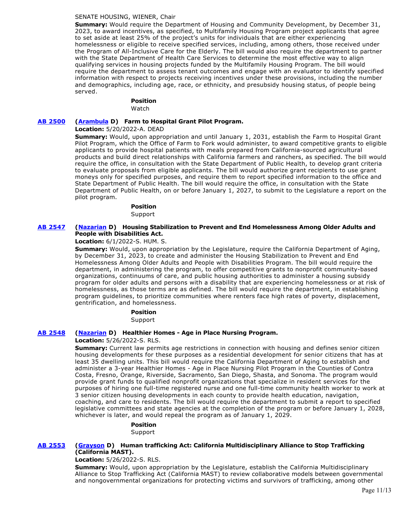## SENATE HOUSING, WIENER, Chair

**Summary:** Would require the Department of Housing and Community Development, by December 31, 2023, to award incentives, as specified, to Multifamily Housing Program project applicants that agree to set aside at least 25% of the project's units for individuals that are either experiencing homelessness or eligible to receive specified services, including, among others, those received under the Program of All-Inclusive Care for the Elderly. The bill would also require the department to partner with the State Department of Health Care Services to determine the most effective way to align qualifying services in housing projects funded by the Multifamily Housing Program. The bill would require the department to assess tenant outcomes and engage with an evaluator to identify specified information with respect to projects receiving incentives under these provisions, including the number and demographics, including age, race, or ethnicity, and presubsidy housing status, of people being served.

## **Position**

Watch

## **[AB 2500](https://ctweb.capitoltrack.com/public/publishbillinfo.aspx?bi=R5th4x12sWd7IS0SDMQmVPoHGkSh2%2BzZqLevAUppNOk7FzvvGu%2B%2FiCTW3thUNuYz) [\(Arambula](https://a31.asmdc.org/) D) Farm to Hospital Grant Pilot Program.**

## **Location:** 5/20/2022-A. DEAD

**Summary:** Would, upon appropriation and until January 1, 2031, establish the Farm to Hospital Grant Pilot Program, which the Office of Farm to Fork would administer, to award competitive grants to eligible applicants to provide hospital patients with meals prepared from California-sourced agricultural products and build direct relationships with California farmers and ranchers, as specified. The bill would require the office, in consultation with the State Department of Public Health, to develop grant criteria to evaluate proposals from eligible applicants. The bill would authorize grant recipients to use grant moneys only for specified purposes, and require them to report specified information to the office and State Department of Public Health. The bill would require the office, in consultation with the State Department of Public Health, on or before January 1, 2027, to submit to the Legislature a report on the pilot program.

# **Position**

Support

## **[AB 2547](https://ctweb.capitoltrack.com/public/publishbillinfo.aspx?bi=%2BjqqYL0OiE%2FqHw9kLLjN53sVEgSzZEvrL%2ByB76wKjEDNYCApYjFKWscJ5Be%2B7Tb9) [\(Nazarian](https://a46.asmdc.org/) D) Housing Stabilization to Prevent and End Homelessness Among Older Adults and People with Disabilities Act.**

**Location:** 6/1/2022-S. HUM. S.

**Summary:** Would, upon appropriation by the Legislature, require the California Department of Aging, by December 31, 2023, to create and administer the Housing Stabilization to Prevent and End Homelessness Among Older Adults and People with Disabilities Program. The bill would require the department, in administering the program, to offer competitive grants to nonprofit community-based organizations, continuums of care, and public housing authorities to administer a housing subsidy program for older adults and persons with a disability that are experiencing homelessness or at risk of homelessness, as those terms are as defined. The bill would require the department, in establishing program guidelines, to prioritize communities where renters face high rates of poverty, displacement, gentrification, and homelessness.

> **Position**  Support

## **[AB 2548](https://ctweb.capitoltrack.com/public/publishbillinfo.aspx?bi=iMkIjM9XyZD32%2Fj6x%2BOY1WYrdSxHgUdGs5rif9yCx5R0v8NV34fz4PwFaHvRMvsx) [\(Nazarian](https://a46.asmdc.org/) D) Healthier Homes - Age in Place Nursing Program.**

#### **Location:** 5/26/2022-S. RLS.

**Summary:** Current law permits age restrictions in connection with housing and defines senior citizen housing developments for these purposes as a residential development for senior citizens that has at least 35 dwelling units. This bill would require the California Department of Aging to establish and administer a 3-year Healthier Homes - Age in Place Nursing Pilot Program in the Counties of Contra Costa, Fresno, Orange, Riverside, Sacramento, San Diego, Shasta, and Sonoma. The program would provide grant funds to qualified nonprofit organizations that specialize in resident services for the purposes of hiring one full-time registered nurse and one full-time community health worker to work at 3 senior citizen housing developments in each county to provide health education, navigation, coaching, and care to residents. The bill would require the department to submit a report to specified legislative committees and state agencies at the completion of the program or before January 1, 2028, whichever is later, and would repeal the program as of January 1, 2029.

> **Position**  Support

## **[AB 2553](https://ctweb.capitoltrack.com/public/publishbillinfo.aspx?bi=JmcoXzoeJiXFLcZch5yigde%2Bcyy4elaRAQx8ZwBkxckV2qJ3VW3vVbh7hYI6INbe) [\(Grayson](https://a14.asmdc.org/) D) Human trafficking Act: California Multidisciplinary Alliance to Stop Trafficking (California MAST).**

**Location:** 5/26/2022-S. RLS.

**Summary:** Would, upon appropriation by the Legislature, establish the California Multidisciplinary Alliance to Stop Trafficking Act (California MAST) to review collaborative models between governmental and nongovernmental organizations for protecting victims and survivors of trafficking, among other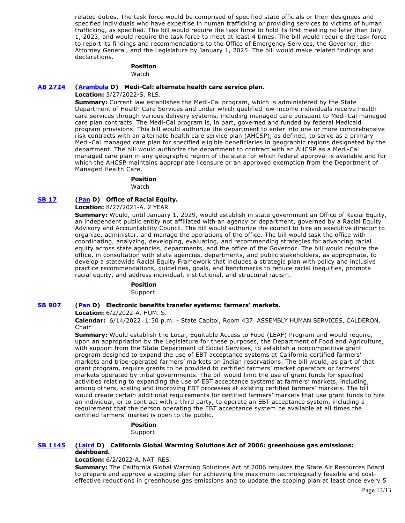related duties. The task force would be comprised of specified state officials or their designees and specified individuals who have expertise in human trafficking or providing services to victims of human trafficking, as specified. The bill would require the task force to hold its first meeting no later than July 1, 2023, and would require the task force to meet at least 4 times. The bill would require the task force to report its findings and recommendations to the Office of Emergency Services, the Governor, the Attorney General, and the Legislature by January 1, 2025. The bill would make related findings and declarations.

# **Position**

Watch

## **[AB 2724](https://ctweb.capitoltrack.com/public/publishbillinfo.aspx?bi=87zZT%2BgcOhFNBkX00iCCDlRJesDpMdThi05DVxph1WMjt4wiQHTVchVtgdOI00s5) [\(Arambula](https://a31.asmdc.org/) D) Medi-Cal: alternate health care service plan.**

**Location:** 5/27/2022-S. RLS.

**Summary:** Current law establishes the Medi-Cal program, which is administered by the State Department of Health Care Services and under which qualified low-income individuals receive health care services through various delivery systems, including managed care pursuant to Medi-Cal managed care plan contracts. The Medi-Cal program is, in part, governed and funded by federal Medicaid program provisions. This bill would authorize the department to enter into one or more comprehensive risk contracts with an alternate health care service plan (AHCSP), as defined, to serve as a primary Medi-Cal managed care plan for specified eligible beneficiaries in geographic regions designated by the department. The bill would authorize the department to contract with an AHCSP as a Medi-Cal managed care plan in any geographic region of the state for which federal approval is available and for which the AHCSP maintains appropriate licensure or an approved exemption from the Department of Managed Health Care.

**Position** 

Watch

# **[SB 17](https://ctweb.capitoltrack.com/public/publishbillinfo.aspx?bi=dBaE3CGJpiGexGpCGI9ZA9mGDSu3R3h8gdgNi5yyapMHbWZPikU1e7jTWnNDjpL9) [\(Pan](http://sd06.senate.ca.gov/) D) Office of Racial Equity.**

**Location:** 8/27/2021-A. 2 YEAR

**Summary:** Would, until January 1, 2029, would establish in state government an Office of Racial Equity, an independent public entity not affiliated with an agency or department, governed by a Racial Equity Advisory and Accountability Council. The bill would authorize the council to hire an executive director to organize, administer, and manage the operations of the office. The bill would task the office with coordinating, analyzing, developing, evaluating, and recommending strategies for advancing racial equity across state agencies, departments, and the office of the Governor. The bill would require the office, in consultation with state agencies, departments, and public stakeholders, as appropriate, to develop a statewide Racial Equity Framework that includes a strategic plan with policy and inclusive practice recommendations, guidelines, goals, and benchmarks to reduce racial inequities, promote racial equity, and address individual, institutional, and structural racism.

**Position** 

Support

# **[SB 907](https://ctweb.capitoltrack.com/public/publishbillinfo.aspx?bi=nIx6X2crzmFr0TWxcYW%2B9kpY%2B5Vcf%2FQzpoT2zOu%2Bk6kh9IF0klsUId4YkFjXzovS) [\(Pan](http://sd06.senate.ca.gov/) D) Electronic benefits transfer systems: farmers' markets.**

**Location:** 6/2/2022-A. HUM. S.

**Calendar:** 6/14/2022 1:30 p.m. - State Capitol, Room 437 ASSEMBLY HUMAN SERVICES, CALDERON, Chair

**Summary:** Would establish the Local, Equitable Access to Food (LEAF) Program and would require, upon an appropriation by the Legislature for these purposes, the Department of Food and Agriculture, with support from the State Department of Social Services, to establish a noncompetitive grant program designed to expand the use of EBT acceptance systems at California certified farmers' markets and tribe-operated farmers' markets on Indian reservations. The bill would, as part of that grant program, require grants to be provided to certified farmers' market operators or farmers' markets operated by tribal governments. The bill would limit the use of grant funds for specified activities relating to expanding the use of EBT acceptance systems at farmers' markets, including, among others, scaling and improving EBT processes at existing certified farmers' markets. The bill would create certain additional requirements for certified farmers' markets that use grant funds to hire an individual, or to contract with a third party, to operate an EBT acceptance system, including a requirement that the person operating the EBT acceptance system be available at all times the certified farmers' market is open to the public.

> **Position**  Support

## **[SB 1145](https://ctweb.capitoltrack.com/public/publishbillinfo.aspx?bi=5bzl2laO8eaLVynAoipXd6DEb1R0i1ymTfYAOJFquQIUeXqH2qj4JDhx%2FCtjeci1) [\(Laird](http://sd17.senate.ca.gov/) D) California Global Warming Solutions Act of 2006: greenhouse gas emissions: dashboard.**

**Location:** 6/2/2022-A. NAT. RES.

**Summary:** The California Global Warming Solutions Act of 2006 requires the State Air Resources Board to prepare and approve a scoping plan for achieving the maximum technologically feasible and costeffective reductions in greenhouse gas emissions and to update the scoping plan at least once every 5